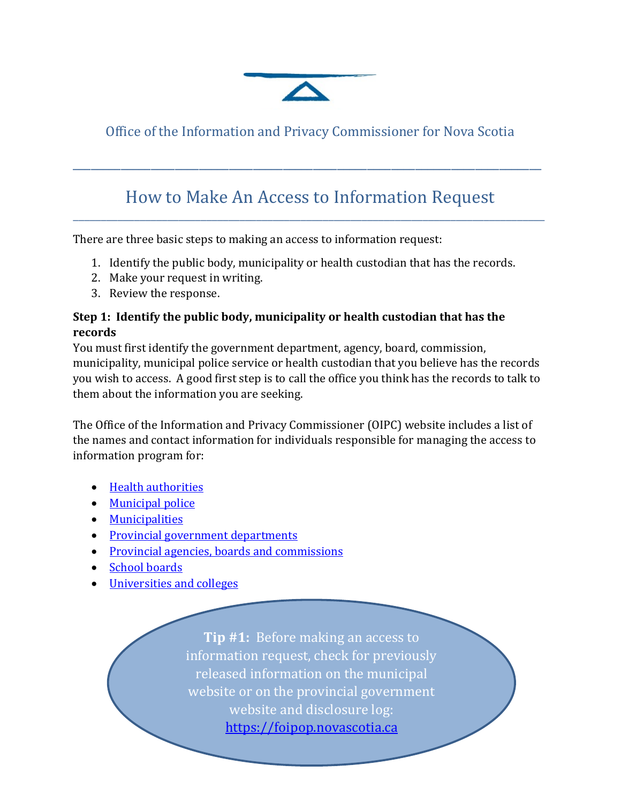

## Office of the Information and Privacy Commissioner for Nova Scotia

\_\_\_\_\_\_\_\_\_\_\_\_\_\_\_\_\_\_\_\_\_\_\_\_\_\_\_\_\_\_\_\_\_\_\_\_\_\_\_\_\_\_\_\_\_\_\_\_\_\_\_\_\_\_\_\_\_\_\_\_\_\_\_\_\_\_\_\_\_\_\_\_\_\_\_\_\_\_

# How to Make An Access to Information Request \_\_\_\_\_\_\_\_\_\_\_\_\_\_\_\_\_\_\_\_\_\_\_\_\_\_\_\_\_\_\_\_\_\_\_\_\_\_\_\_\_\_\_\_\_\_\_\_\_\_\_\_\_\_\_\_\_\_\_\_\_\_\_\_\_\_\_\_\_\_\_\_\_\_\_\_\_\_\_\_\_\_\_\_\_

There are three basic steps to making an access to information request:

- 1. Identify the public body, municipality or health custodian that has the records.
- 2. Make your request in writing.
- 3. Review the response.

### **Step 1: Identify the public body, municipality or health custodian that has the records**

You must first identify the government department, agency, board, commission, municipality, municipal police service or health custodian that you believe has the records you wish to access. A good first step is to call the office you think has the records to talk to them about the information you are seeking.

The Office of the Information and Privacy Commissioner (OIPC) website includes a list of the names and contact information for individuals responsible for managing the access to information program for:

- [Health authorities](https://foipop.ns.ca/PB_Contact)
- [Municipal police](https://foipop.ns.ca/PB_Contact)
- [Municipalities](https://foipop.ns.ca/PB_Contact)
- [Provincial government departments](https://foipop.ns.ca/PB_Contact)
- [Provincial agencies, boards and commissions](https://foipop.ns.ca/PB_Contact)
- [School boards](https://foipop.ns.ca/PB_Contact)
- [Universities and colleges](https://foipop.ns.ca/PB_Contact)

**Tip #1:** Before making an access to information request, check for previously released information on the municipal website or on the provincial government website and disclosure log: [https://foipop.novascotia.ca](https://foipop.novascotia.ca/)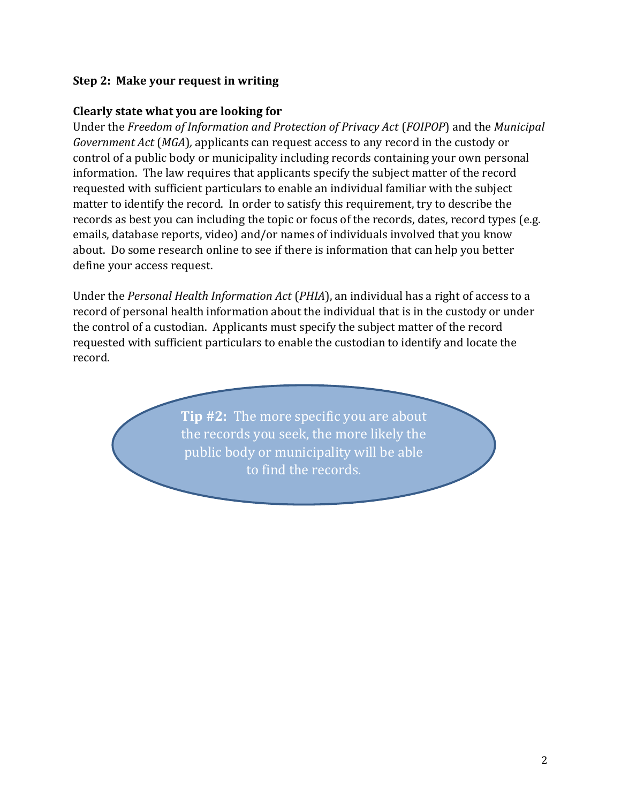#### **Step 2: Make your request in writing**

#### **Clearly state what you are looking for**

Under the *Freedom of Information and Protection of Privacy Act* (*FOIPOP*) and the *Municipal Government Act* (*MGA*)*,* applicants can request access to any record in the custody or control of a public body or municipality including records containing your own personal information. The law requires that applicants specify the subject matter of the record requested with sufficient particulars to enable an individual familiar with the subject matter to identify the record. In order to satisfy this requirement, try to describe the records as best you can including the topic or focus of the records, dates, record types (e.g. emails, database reports, video) and/or names of individuals involved that you know about. Do some research online to see if there is information that can help you better define your access request.

Under the *Personal Health Information Act* (*PHIA*), an individual has a right of access to a record of personal health information about the individual that is in the custody or under the control of a custodian. Applicants must specify the subject matter of the record requested with sufficient particulars to enable the custodian to identify and locate the record.

> **Tip #2:** The more specific you are about the records you seek, the more likely the public body or municipality will be able to find the records.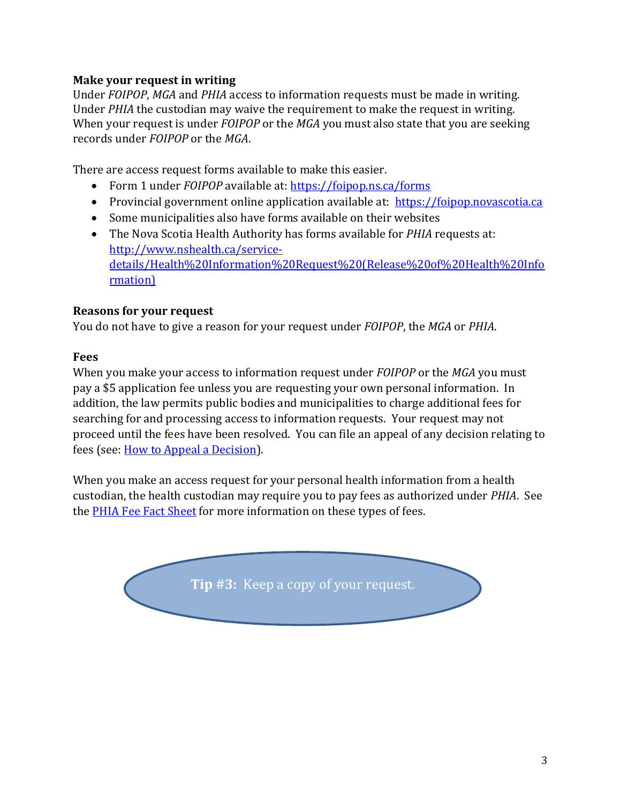### **Make your request in writing**

Under *FOIPOP*, *MGA* and *PHIA* access to information requests must be made in writing. Under *PHIA* the custodian may waive the requirement to make the request in writing. When your request is under *FOIPOP* or the *MGA* you must also state that you are seeking records under *FOIPOP* or the *MGA*.

There are access request forms available to make this easier.

- Form 1 under *FOIPOP* available at:<https://foipop.ns.ca/forms>
- Provincial government online application available at: [https://foipop.novascotia.ca](https://foipop.novascotia.ca/)
- Some municipalities also have forms available on their websites
- The Nova Scotia Health Authority has forms available for *PHIA* requests at: [http://www.nshealth.ca/service](http://www.nshealth.ca/service-details/Health%20Information%20Request%20(Release%20of%20Health%20Information))[details/Health%20Information%20Request%20\(Release%20of%20Health%20Info](http://www.nshealth.ca/service-details/Health%20Information%20Request%20(Release%20of%20Health%20Information)) [rmation\)](http://www.nshealth.ca/service-details/Health%20Information%20Request%20(Release%20of%20Health%20Information))

### **Reasons for your request**

You do not have to give a reason for your request under *FOIPOP*, the *MGA* or *PHIA*.

### **Fees**

When you make your access to information request under *FOIPOP* or the *MGA* you must pay a \$5 application fee unless you are requesting your own personal information. In addition, the law permits public bodies and municipalities to charge additional fees for searching for and processing access to information requests. Your request may not proceed until the fees have been resolved. You can file an appeal of any decision relating to fees (see: [How to Appeal a Decision\)](https://foipop.ns.ca/sites/default/files/publications/17-00136%20How%20to%20appeal%20a%20decision%20%2817%20Jan%2018%29.pdf).

When you make an access request for your personal health information from a health custodian, the health custodian may require you to pay fees as authorized under *PHIA*. See the [PHIA Fee Fact Sheet](https://www.foipop.ns.ca/sites/default/files/publications/15-00084%20%20PHIA%20fees%20fact%20sheet%20%2815%20Oct%2015%29_0.pdf) for more information on these types of fees.

**Tip #3:** Keep a copy of your request.